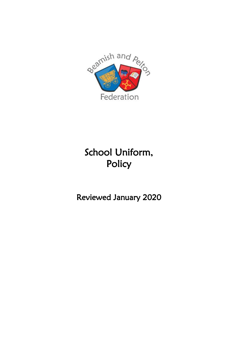

# School Uniform, Policy

Reviewed January 2020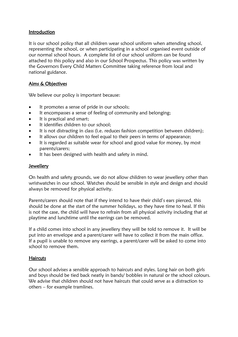# Introduction

It is our school policy that all children wear school uniform when attending school, representing the school, or when participating in a school organised event outside of our normal school hours. A complete list of our school uniform can be found attached to this policy and also in our School Prospectus. This policy was written by the Governors Every Child Matters Committee taking reference from local and national guidance.

# Aims & Objectives

We believe our policy is important because:

- It promotes a sense of pride in our schools;
- It encompasses a sense of feeling of community and belonging;
- It is practical and smart:
- It identifies children to our school:
- It is not distracting in class (i.e. reduces fashion competition between children);
- It allows our children to feel equal to their peers in terms of appearance;
- It is regarded as suitable wear for school and good value for money, by most parents/carers;
- It has been designed with health and safety in mind.

# Jewellery

On health and safety grounds, we do not allow children to wear jewellery other than wristwatches in our school. Watches should be sensible in style and design and should always be removed for physical activity.

Parents/carers should note that if they intend to have their child's ears pierced, this should be done at the start of the summer holidays, so they have time to heal. If this is not the case, the child will have to refrain from all physical activity including that at playtime and lunchtime until the earrings can be removed.

If a child comes into school in any jewellery they will be told to remove it. It will be put into an envelope and a parent/carer will have to collect it from the main office. If a pupil is unable to remove any earrings, a parent/carer will be asked to come into school to remove them.

#### **Haircuts**

Our school advises a sensible approach to haircuts and styles. Long hair on both girls and boys should be tied back neatly in bands/ bobbles in natural or the school colours. We advise that children should not have haircuts that could serve as a distraction to others – for example tramlines.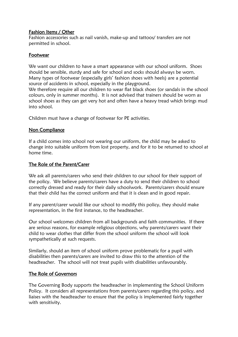# Fashion Items / Other

Fashion accessories such as nail vanish, make-up and tattoos/ transfers are not permitted in school.

## Footwear

We want our children to have a smart appearance with our school uniform. Shoes should be sensible, sturdy and safe for school and socks should always be worn. Many types of footwear (especially girls' fashion shoes with heels) are a potential source of accidents in school, especially in the playground.

We therefore require all our children to wear flat black shoes (or sandals in the school colours, only in summer months). It is not advised that trainers should be worn as school shoes as they can get very hot and often have a heavy tread which brings mud into school.

Children must have a change of footwear for PE activities.

# Non Compliance

If a child comes into school not wearing our uniform, the child may be asked to change into suitable uniform from lost property, and for it to be returned to school at home time.

## The Role of the Parent/Carer

We ask all parents/carers who send their children to our school for their support of the policy. We believe parents/carers have a duty to send their children to school correctly dressed and ready for their daily schoolwork. Parents/carers should ensure that their child has the correct uniform and that it is clean and in good repair.

If any parent/carer would like our school to modify this policy, they should make representation, in the first instance, to the headteacher.

Our school welcomes children from all backgrounds and faith communities. If there are serious reasons, for example religious objections, why parents/carers want their child to wear clothes that differ from the school uniform the school will look sympathetically at such requests.

Similarly, should an item of school uniform prove problematic for a pupil with disabilities then parents/carers are invited to draw this to the attention of the headteacher. The school will not treat pupils with disabilities unfavourably.

# The Role of Governors

The Governing Body supports the headteacher in implementing the School Uniform Policy. It considers all representations from parents/carers regarding this policy, and liaises with the headteacher to ensure that the policy is implemented fairly together with sensitivity.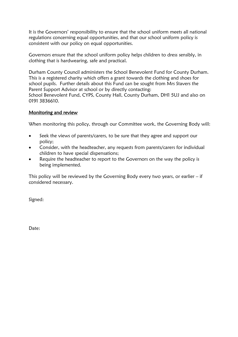It is the Governors' responsibility to ensure that the school uniform meets all national regulations concerning equal opportunities, and that our school uniform policy is consistent with our policy on equal opportunities.

Governors ensure that the school uniform policy helps children to dress sensibly, in clothing that is hardwearing, safe and practical.

Durham County Council administers the School Benevolent Fund for County Durham. This is a registered charity which offers a grant towards the clothing and shoes for school pupils. Further details about this Fund can be sought from Mrs Stavers the Parent Support Advisor at school or by directly contacting: School Benevolent Fund, CYPS, County Hall, County Durham, DH1 5UJ and also on 0191 3836610.

## Monitoring and review

When monitoring this policy, through our Committee work, the Governing Body will:

- Seek the views of parents/carers, to be sure that they agree and support our policy;
- Consider, with the headteacher, any requests from parents/carers for individual children to have special dispensations;
- Require the headteacher to report to the Governors on the way the policy is being implemented.

This policy will be reviewed by the Governing Body every two years, or earlier – if considered necessary.

Signed:

Date: